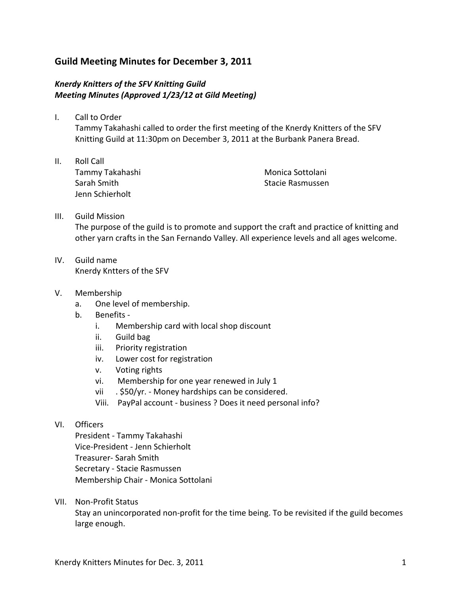## **Guild Meeting Minutes for December 3, 2011**

### **Knerdy Knitters of the SFV Knitting Guild** *Meeting Minutes (Approved 1/23/12 at Gild Meeting)*

- I. Call to Order Tammy Takahashi called to order the first meeting of the Knerdy Knitters of the SFV Knitting Guild at 11:30pm on December 3, 2011 at the Burbank Panera Bread.
- II. Roll Call Tammy Takahashi Sarah Smith Jenn Schierholt

Monica Sottolani Stacie Rasmussen

# III. Guild Mission The purpose of the guild is to promote and support the craft and practice of knitting and other yarn crafts in the San Fernando Valley. All experience levels and all ages welcome.

- IV. Guild name Knerdy Kntters of the SFV
- V. Membership
	- a. One level of membership.
	- b. Benefits
		- i. Membership card with local shop discount
		- ii. Guild bag
		- iii. Priority registration
		- iv. Lower cost for registration
		- v. Voting rights
		- vi. Membership for one year renewed in July 1
		- vii . \$50/yr. Money hardships can be considered.
		- Viii. PayPal account business ? Does it need personal info?

### VI. Officers

President - Tammy Takahashi Vice-President - Jenn Schierholt Treasurer- Sarah Smith Secretary - Stacie Rasmussen Membership Chair - Monica Sottolani

VII. Non-Profit Status

Stay an unincorporated non-profit for the time being. To be revisited if the guild becomes large enough.